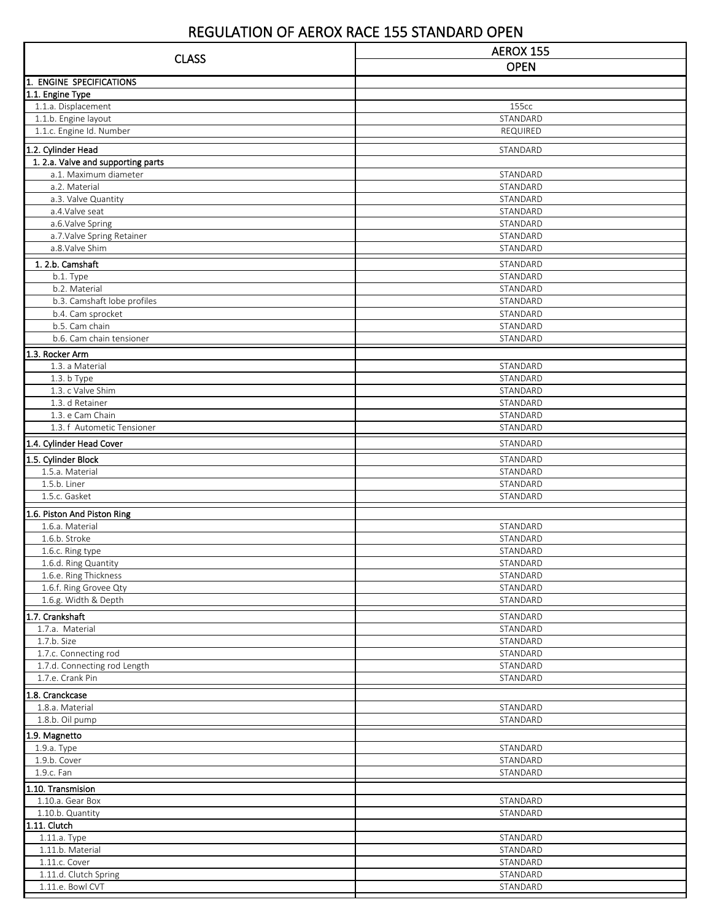## REGULATION OF AEROX RACE 155 STANDARD OPEN

| <b>CLASS</b>                                     | AEROX 155            |  |
|--------------------------------------------------|----------------------|--|
|                                                  | <b>OPEN</b>          |  |
| <b>ENGINE SPECIFICATIONS</b><br>1.               |                      |  |
| 1.1. Engine Type                                 |                      |  |
| 1.1.a. Displacement                              | 155cc                |  |
| 1.1.b. Engine layout                             | STANDARD             |  |
| 1.1.c. Engine Id. Number                         | REQUIRED             |  |
| 1.2. Cylinder Head                               | STANDARD             |  |
| 1. 2.a. Valve and supporting parts               |                      |  |
| a.1. Maximum diameter                            | STANDARD             |  |
| a.2. Material<br>a.3. Valve Quantity             | STANDARD<br>STANDARD |  |
| a.4. Valve seat                                  | STANDARD             |  |
| a.6.Valve Spring                                 | STANDARD             |  |
| a.7. Valve Spring Retainer                       | STANDARD             |  |
| a.8.Valve Shim                                   | STANDARD             |  |
| 1.2.b. Camshaft                                  | STANDARD             |  |
| b.1. Type                                        | STANDARD             |  |
| b.2. Material                                    | STANDARD             |  |
| b.3. Camshaft lobe profiles                      | STANDARD             |  |
| b.4. Cam sprocket<br>b.5. Cam chain              | STANDARD<br>STANDARD |  |
| b.6. Cam chain tensioner                         | STANDARD             |  |
| 1.3. Rocker Arm                                  |                      |  |
| 1.3. a Material                                  | STANDARD             |  |
| $1.3. b$ Type                                    | STANDARD             |  |
| 1.3. c Valve Shim                                | STANDARD             |  |
| 1.3. d Retainer                                  | STANDARD             |  |
| 1.3. e Cam Chain                                 | STANDARD             |  |
| 1.3. f Autometic Tensioner                       | STANDARD             |  |
| 1.4. Cylinder Head Cover                         | STANDARD             |  |
| 1.5. Cylinder Block                              | STANDARD             |  |
| 1.5.a. Material                                  | STANDARD             |  |
| 1.5.b. Liner<br>1.5.c. Gasket                    | STANDARD             |  |
|                                                  | STANDARD             |  |
| 1.6. Piston And Piston Ring                      |                      |  |
| 1.6.a. Material<br>1.6.b. Stroke                 | STANDARD<br>STANDARD |  |
| 1.6.c. Ring type                                 | STANDARD             |  |
| 1.6.d. Ring Quantity                             | STANDARD             |  |
| 1.6.e. Ring Thickness                            | STANDARD             |  |
| 1.6.f. Ring Grovee Qty                           | STANDARD             |  |
| 1.6.g. Width & Depth                             | STANDARD             |  |
| 1.7. Crankshaft                                  | STANDARD             |  |
| 1.7.a. Material                                  | STANDARD             |  |
| 1.7.b. Size                                      | STANDARD             |  |
| 1.7.c. Connecting rod                            | STANDARD             |  |
| 1.7.d. Connecting rod Length<br>1.7.e. Crank Pin | STANDARD<br>STANDARD |  |
|                                                  |                      |  |
| 1.8. Cranckcase<br>1.8.a. Material               | STANDARD             |  |
| 1.8.b. Oil pump                                  | STANDARD             |  |
|                                                  |                      |  |
| 1.9. Magnetto<br>1.9.a. Type                     | STANDARD             |  |
| 1.9.b. Cover                                     | STANDARD             |  |
| 1.9.c. Fan                                       | STANDARD             |  |
| 1.10. Transmision                                |                      |  |
| 1.10.a. Gear Box                                 | STANDARD             |  |
| 1.10.b. Quantity                                 | STANDARD             |  |
| 1.11. Clutch                                     |                      |  |
| 1.11.a. Type                                     | STANDARD             |  |
| 1.11.b. Material                                 | STANDARD             |  |
| 1.11.c. Cover                                    | STANDARD             |  |
| 1.11.d. Clutch Spring<br>1.11.e. Bowl CVT        | STANDARD<br>STANDARD |  |
|                                                  |                      |  |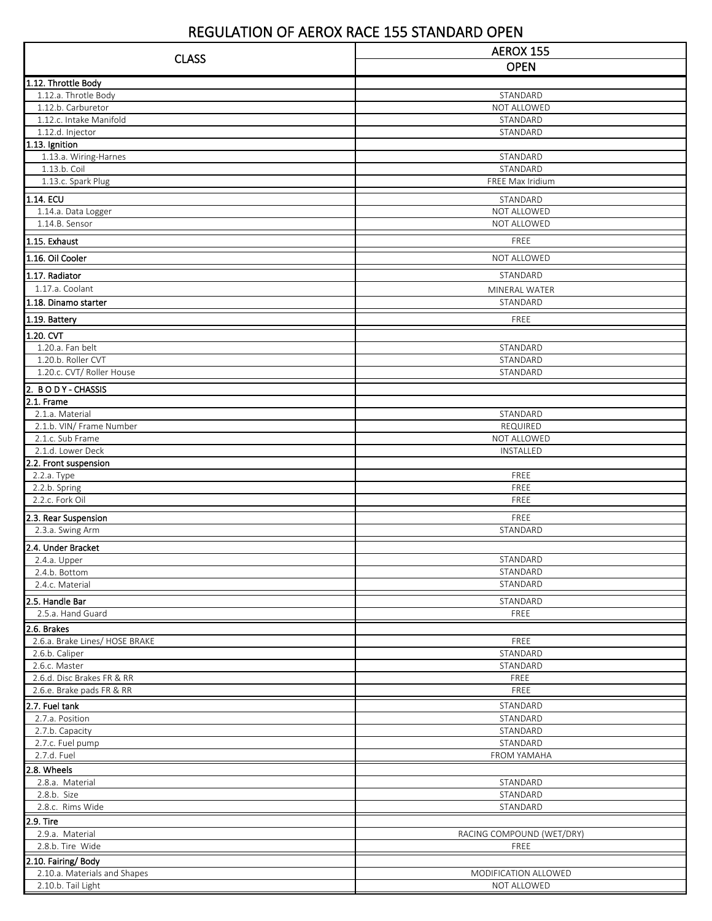## REGULATION OF AEROX RACE 155 STANDARD OPEN

| <b>CLASS</b>                                    | AEROX 155                 |
|-------------------------------------------------|---------------------------|
|                                                 | <b>OPEN</b>               |
| 1.12. Throttle Body                             |                           |
| 1.12.a. Throtle Body                            | STANDARD                  |
| 1.12.b. Carburetor                              | NOT ALLOWED               |
| 1.12.c. Intake Manifold                         | STANDARD                  |
| 1.12.d. Injector<br>$\overline{1.1}3.$ Ignition | STANDARD                  |
| 1.13.a. Wiring-Harnes                           | STANDARD                  |
| 1.13.b. Coil                                    | STANDARD                  |
| 1.13.c. Spark Plug                              | FREE Max Iridium          |
| 1.14. ECU                                       | STANDARD                  |
| 1.14.a. Data Logger                             | NOT ALLOWED               |
| 1.14.B. Sensor                                  | NOT ALLOWED               |
| 1.15. Exhaust                                   | FREE                      |
| 1.16. Oil Cooler                                | NOT ALLOWED               |
|                                                 |                           |
| 1.17. Radiator<br>1.17.a. Coolant               | STANDARD                  |
| 1.18. Dinamo starter                            | MINERAL WATER<br>STANDARD |
|                                                 |                           |
| 1.19. Battery                                   | FREE                      |
| 1.20. CVT                                       |                           |
| 1.20.a. Fan belt<br>1.20.b. Roller CVT          | STANDARD<br>STANDARD      |
| 1.20.c. CVT/ Roller House                       | STANDARD                  |
| 2. BODY-CHASSIS                                 |                           |
| 2.1. Frame                                      |                           |
| 2.1.a. Material                                 | STANDARD                  |
| 2.1.b. VIN/ Frame Number                        | REQUIRED                  |
| 2.1.c. Sub Frame                                | NOT ALLOWED               |
| 2.1.d. Lower Deck                               | INSTALLED                 |
| 2.2. Front suspension                           | FREE                      |
| 2.2.a. Type<br>2.2.b. Spring                    | FREE                      |
| 2.2.c. Fork Oil                                 | FREE                      |
| 2.3. Rear Suspension                            | FREE                      |
| 2.3.a. Swing Arm                                | STANDARD                  |
| 2.4. Under Bracket                              |                           |
| 2.4.a. Upper                                    | STANDARD                  |
| 2.4.b. Bottom                                   | STANDARD                  |
| 2.4.c. Material                                 | STANDARD                  |
| 2.5. Handle Bar                                 | STANDARD                  |
| 2.5.a. Hand Guard                               | FREE                      |
| 2.6. Brakes                                     |                           |
| 2.6.a. Brake Lines/ HOSE BRAKE                  | FREE                      |
| 2.6.b. Caliper                                  | STANDARD                  |
| 2.6.c. Master<br>2.6.d. Disc Brakes FR & RR     | STANDARD                  |
| 2.6.e. Brake pads FR & RR                       | FREE<br>FREE              |
| 2.7. Fuel tank                                  | STANDARD                  |
| 2.7.a. Position                                 | STANDARD                  |
| 2.7.b. Capacity                                 | STANDARD                  |
| 2.7.c. Fuel pump                                | STANDARD                  |
| 2.7.d. Fuel                                     | FROM YAMAHA               |
| 2.8. Wheels                                     |                           |
| 2.8.a. Material                                 | STANDARD                  |
| 2.8.b. Size                                     | STANDARD                  |
| 2.8.c. Rims Wide                                | STANDARD                  |
| 2.9. Tire<br>2.9.a. Material                    | RACING COMPOUND (WET/DRY) |
| 2.8.b. Tire Wide                                | FREE                      |
| 2.10. Fairing/Body                              |                           |
| 2.10.a. Materials and Shapes                    | MODIFICATION ALLOWED      |
| 2.10.b. Tail Light                              | NOT ALLOWED               |